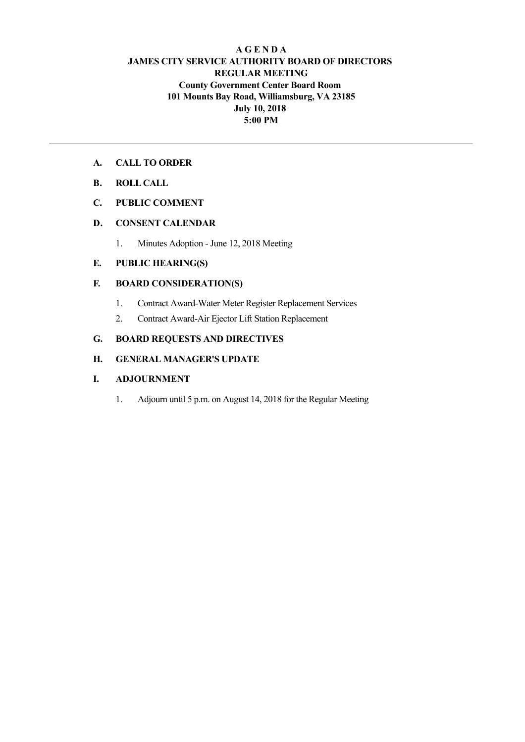## **A G E N D A JAMES CITY SERVICE AUTHORITY BOARD OF DIRECTORS REGULAR MEETING County Government Center Board Room 101 Mounts Bay Road, Williamsburg, VA 23185 July 10, 2018 5:00 PM**

## **A. CALL TO ORDER**

**B. ROLL CALL**

## **C. PUBLIC COMMENT**

## **D. CONSENT CALENDAR**

1. Minutes Adoption - June 12, 2018 Meeting

## **E. PUBLIC HEARING(S)**

## **F. BOARD CONSIDERATION(S)**

- 1. Contract Award-Water Meter Register Replacement Services
- 2. Contract Award-Air Ejector Lift Station Replacement

## **G. BOARD REQUESTS AND DIRECTIVES**

## **H. GENERAL MANAGER'S UPDATE**

#### **I. ADJOURNMENT**

1. Adjourn until 5 p.m. on August 14, 2018 for the Regular Meeting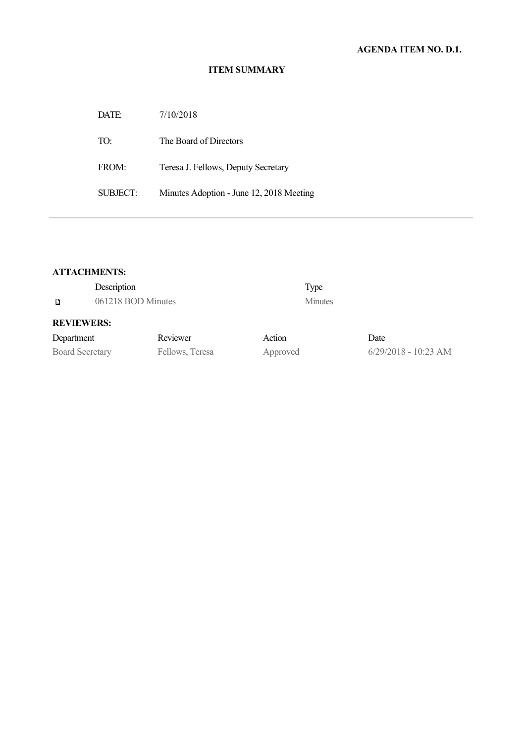## **ITEM SUMMARY**

| DATE:    | 7/10/2018                                |
|----------|------------------------------------------|
| TO:      | The Board of Directors                   |
| FROM:    | Teresa J. Fellows, Deputy Secretary      |
| SUBJECT: | Minutes Adoption - June 12, 2018 Meeting |

## **ATTACHMENTS:**

| Description<br>061218 BOD Minutes<br>D |                 | Type<br><b>Minutes</b> |                        |
|----------------------------------------|-----------------|------------------------|------------------------|
| <b>REVIEWERS:</b>                      |                 |                        |                        |
| Department                             | Reviewer        | Action                 | Date                   |
| <b>Board Secretary</b>                 | Fellows, Teresa | Approved               | $6/29/2018 - 10:23$ AM |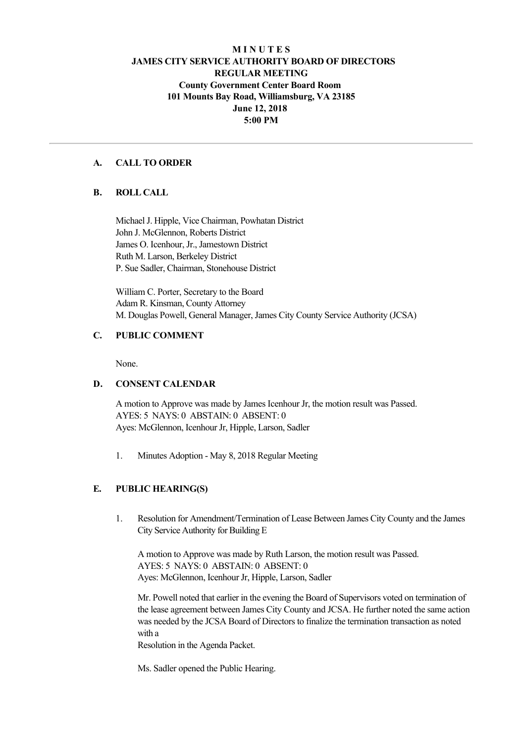## **M I N U T E S JAMES CITY SERVICE AUTHORITY BOARD OF DIRECTORS REGULAR MEETING County Government Center Board Room 101 Mounts Bay Road, Williamsburg, VA 23185 June 12, 2018 5:00 PM**

## **A. CALL TO ORDER**

#### **B. ROLL CALL**

Michael J. Hipple, Vice Chairman, Powhatan District John J. McGlennon, Roberts District James O. Icenhour, Jr., Jamestown District Ruth M. Larson, Berkeley District P. Sue Sadler, Chairman, Stonehouse District

William C. Porter, Secretary to the Board Adam R. Kinsman, County Attorney M. Douglas Powell, General Manager, James City County Service Authority (JCSA)

#### **C. PUBLIC COMMENT**

None.

#### **D. CONSENT CALENDAR**

A motion to Approve was made by James Icenhour Jr, the motion result was Passed. AYES: 5 NAYS: 0 ABSTAIN: 0 ABSENT: 0 Ayes: McGlennon, Icenhour Jr, Hipple, Larson, Sadler

1. Minutes Adoption - May 8, 2018 Regular Meeting

## **E. PUBLIC HEARING(S)**

1. Resolution for Amendment/Termination of Lease Between James City County and the James City Service Authority for Building E

A motion to Approve was made by Ruth Larson, the motion result was Passed. AYES: 5 NAYS: 0 ABSTAIN: 0 ABSENT: 0 Ayes: McGlennon, Icenhour Jr, Hipple, Larson, Sadler

Mr. Powell noted that earlier in the evening the Board of Supervisors voted on termination of the lease agreement between James City County and JCSA. He further noted the same action was needed by the JCSA Board of Directors to finalize the termination transaction as noted with a

Resolution in the Agenda Packet.

Ms. Sadler opened the Public Hearing.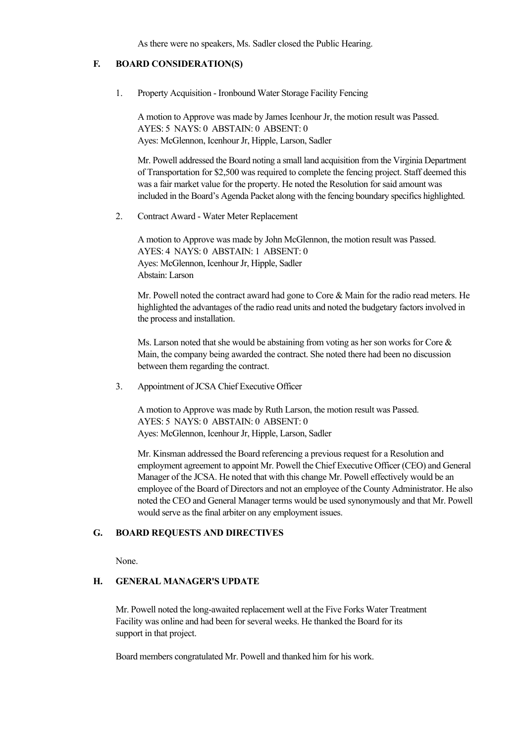As there were no speakers, Ms. Sadler closed the Public Hearing.

## **F. BOARD CONSIDERATION(S)**

1. Property Acquisition - Ironbound Water Storage Facility Fencing

A motion to Approve was made by James Icenhour Jr, the motion result was Passed. AYES: 5 NAYS: 0 ABSTAIN: 0 ABSENT: 0 Ayes: McGlennon, Icenhour Jr, Hipple, Larson, Sadler

Mr. Powell addressed the Board noting a small land acquisition from the Virginia Department of Transportation for \$2,500 was required to complete the fencing project. Staff deemed this was a fair market value for the property. He noted the Resolution for said amount was included in the Board's Agenda Packet along with the fencing boundary specifics highlighted.

2. Contract Award - Water Meter Replacement

A motion to Approve was made by John McGlennon, the motion result was Passed. AYES: 4 NAYS: 0 ABSTAIN: 1 ABSENT: 0 Ayes: McGlennon, Icenhour Jr, Hipple, Sadler Abstain: Larson

Mr. Powell noted the contract award had gone to Core & Main for the radio read meters. He highlighted the advantages of the radio read units and noted the budgetary factors involved in the process and installation.

Ms. Larson noted that she would be abstaining from voting as her son works for Core & Main, the company being awarded the contract. She noted there had been no discussion between them regarding the contract.

3. Appointment of JCSA Chief Executive Officer

A motion to Approve was made by Ruth Larson, the motion result was Passed. AYES: 5 NAYS: 0 ABSTAIN: 0 ABSENT: 0 Ayes: McGlennon, Icenhour Jr, Hipple, Larson, Sadler

Mr. Kinsman addressed the Board referencing a previous request for a Resolution and employment agreement to appoint Mr. Powell the Chief Executive Officer (CEO) and General Manager of the JCSA. He noted that with this change Mr. Powell effectively would be an employee of the Board of Directors and not an employee of the County Administrator. He also noted the CEO and General Manager terms would be used synonymously and that Mr. Powell would serve as the final arbiter on any employment issues.

#### **G. BOARD REQUESTS AND DIRECTIVES**

None.

#### **H. GENERAL MANAGER'S UPDATE**

Mr. Powell noted the long-awaited replacement well at the Five Forks Water Treatment Facility was online and had been for several weeks. He thanked the Board for its support in that project.

Board members congratulated Mr. Powell and thanked him for his work.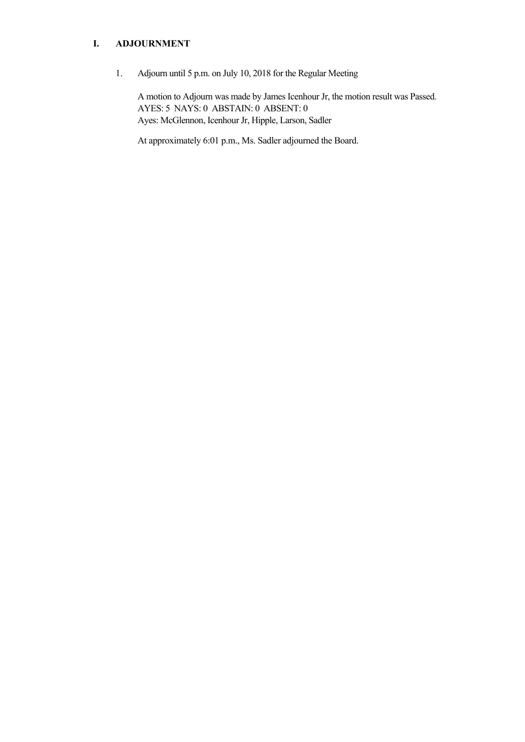## **I. ADJOURNMENT**

1. Adjourn until 5 p.m. on July 10, 2018 for the Regular Meeting

A motion to Adjourn was made by James Icenhour Jr, the motion result was Passed. AYES: 5 NAYS: 0 ABSTAIN: 0 ABSENT: 0 Ayes: McGlennon, Icenhour Jr, Hipple, Larson, Sadler

At approximately 6:01 p.m., Ms. Sadler adjourned the Board.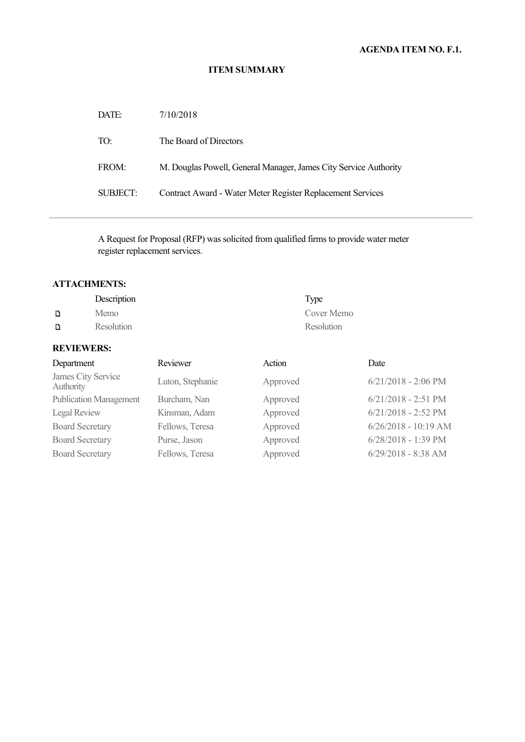# **AGENDA ITEM NO. F.1.**

#### **ITEM SUMMARY**

| DATE:    | 7/10/2018                                                        |
|----------|------------------------------------------------------------------|
| TO:      | The Board of Directors                                           |
| FROM:    | M. Douglas Powell, General Manager, James City Service Authority |
| SUBJECT: | Contract Award - Water Meter Register Replacement Services       |

A Request for Proposal (RFP) was solicited from qualified firms to provide water meter register replacement services.

# **ATTACHMENTS:**

|   | Description | Type       |
|---|-------------|------------|
| D | Memo        | Cover Memo |
| D | Resolution  | Resolution |

# **REVIEWERS:**

| Department                      | Reviewer         | Action   | Date                   |
|---------------------------------|------------------|----------|------------------------|
| James City Service<br>Authority | Luton, Stephanie | Approved | $6/21/2018 - 2:06$ PM  |
| <b>Publication Management</b>   | Burcham, Nan     | Approved | $6/21/2018 - 2:51$ PM  |
| Legal Review                    | Kinsman, Adam    | Approved | $6/21/2018 - 2:52$ PM  |
| <b>Board Secretary</b>          | Fellows, Teresa  | Approved | $6/26/2018 - 10:19$ AM |
| <b>Board Secretary</b>          | Purse, Jason     | Approved | $6/28/2018 - 1:39$ PM  |
| <b>Board Secretary</b>          | Fellows, Teresa  | Approved | $6/29/2018 - 8:38$ AM  |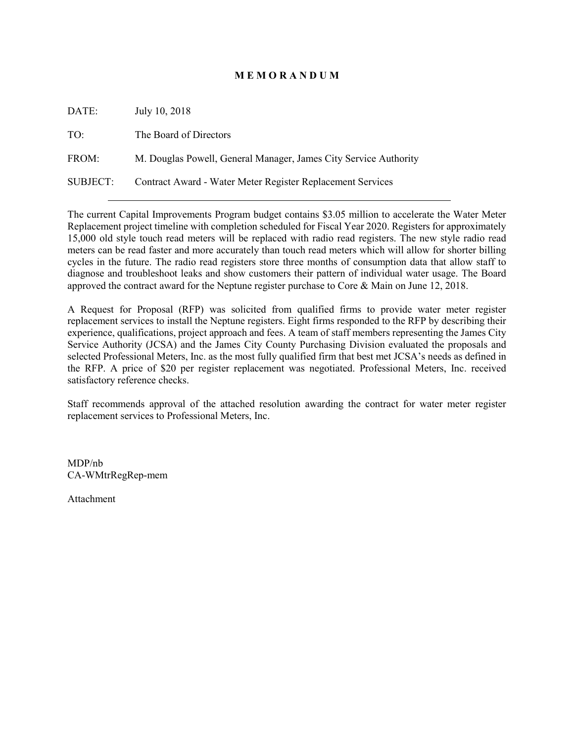## **M E M O R A N D U M**

| DATE:           | July 10, 2018                                                    |
|-----------------|------------------------------------------------------------------|
| TO:             | The Board of Directors                                           |
| FROM:           | M. Douglas Powell, General Manager, James City Service Authority |
| <b>SUBJECT:</b> | Contract Award - Water Meter Register Replacement Services       |

The current Capital Improvements Program budget contains \$3.05 million to accelerate the Water Meter Replacement project timeline with completion scheduled for Fiscal Year 2020. Registers for approximately 15,000 old style touch read meters will be replaced with radio read registers. The new style radio read meters can be read faster and more accurately than touch read meters which will allow for shorter billing cycles in the future. The radio read registers store three months of consumption data that allow staff to diagnose and troubleshoot leaks and show customers their pattern of individual water usage. The Board approved the contract award for the Neptune register purchase to Core & Main on June 12, 2018.

A Request for Proposal (RFP) was solicited from qualified firms to provide water meter register replacement services to install the Neptune registers. Eight firms responded to the RFP by describing their experience, qualifications, project approach and fees. A team of staff members representing the James City Service Authority (JCSA) and the James City County Purchasing Division evaluated the proposals and selected Professional Meters, Inc. as the most fully qualified firm that best met JCSA's needs as defined in the RFP. A price of \$20 per register replacement was negotiated. Professional Meters, Inc. received satisfactory reference checks.

Staff recommends approval of the attached resolution awarding the contract for water meter register replacement services to Professional Meters, Inc.

MDP/nb CA-WMtrRegRep-mem

Attachment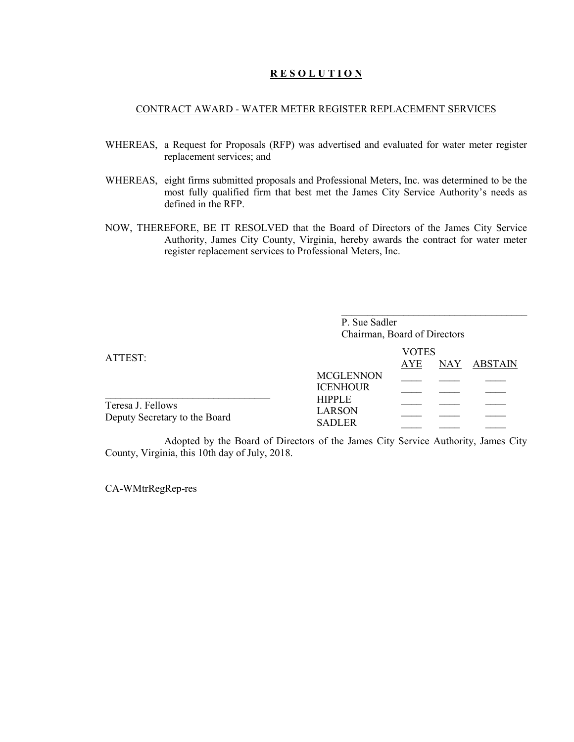### **R E S O L U T I O N**

#### CONTRACT AWARD - WATER METER REGISTER REPLACEMENT SERVICES

- WHEREAS, a Request for Proposals (RFP) was advertised and evaluated for water meter register replacement services; and
- WHEREAS, eight firms submitted proposals and Professional Meters, Inc. was determined to be the most fully qualified firm that best met the James City Service Authority's needs as defined in the RFP.
- NOW, THEREFORE, BE IT RESOLVED that the Board of Directors of the James City Service Authority, James City County, Virginia, hereby awards the contract for water meter register replacement services to Professional Meters, Inc.

|                                                    | P. Sue Sadler<br>Chairman, Board of Directors   |                            |             |
|----------------------------------------------------|-------------------------------------------------|----------------------------|-------------|
| ATTEST:                                            |                                                 | <b>VOTES</b><br><b>AYE</b> | NAY ABSTAIN |
|                                                    | <b>MCGLENNON</b><br><b>ICENHOUR</b>             |                            |             |
| Teresa J. Fellows<br>Deputy Secretary to the Board | <b>HIPPLE</b><br><b>LARSON</b><br><b>SADLER</b> |                            |             |

Adopted by the Board of Directors of the James City Service Authority, James City County, Virginia, this 10th day of July, 2018.

CA-WMtrRegRep-res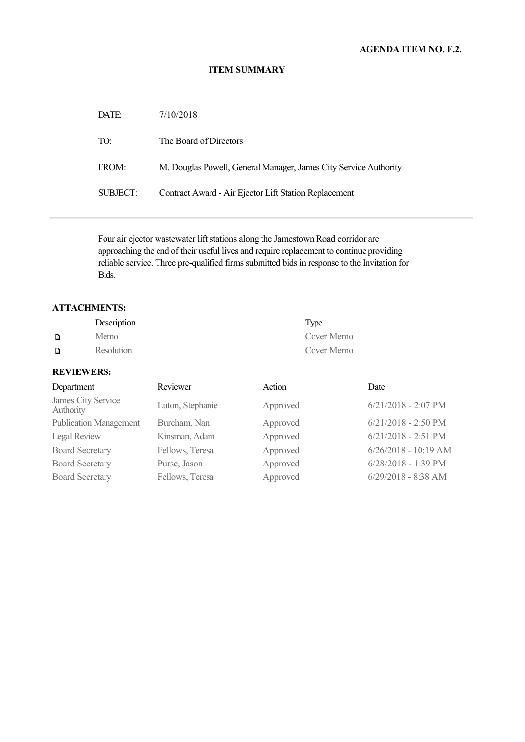## **AGENDA ITEM NO. F.2.**

#### **ITEM SUMMARY**

| DATE:           | 7/10/2018                                                        |
|-----------------|------------------------------------------------------------------|
| TO:             | The Board of Directors                                           |
| FROM:           | M. Douglas Powell, General Manager, James City Service Authority |
| <b>SUBJECT:</b> | Contract Award - Air Ejector Lift Station Replacement            |

Four air ejector wastewater lift stations along the Jamestown Road corridor are approaching the end of their useful lives and require replacement to continue providing reliable service. Three pre-qualified firms submitted bids in response to the Invitation for Bids.

## **ATTACHMENTS:**

|   | Description       | Type       |
|---|-------------------|------------|
| D | Memo              | Cover Memo |
| D | <b>Resolution</b> | Cover Memo |

## **REVIEWERS:**

| Department                      | Reviewer         | Action   | Date                   |
|---------------------------------|------------------|----------|------------------------|
| James City Service<br>Authority | Luton, Stephanie | Approved | $6/21/2018 - 2:07$ PM  |
| <b>Publication Management</b>   | Burcham, Nan     | Approved | $6/21/2018 - 2:50$ PM  |
| Legal Review                    | Kinsman, Adam    | Approved | $6/21/2018 - 2:51$ PM  |
| <b>Board Secretary</b>          | Fellows, Teresa  | Approved | $6/26/2018 - 10:19$ AM |
| <b>Board Secretary</b>          | Purse, Jason     | Approved | $6/28/2018 - 1:39$ PM  |
| <b>Board Secretary</b>          | Fellows, Teresa  | Approved | $6/29/2018 - 8:38$ AM  |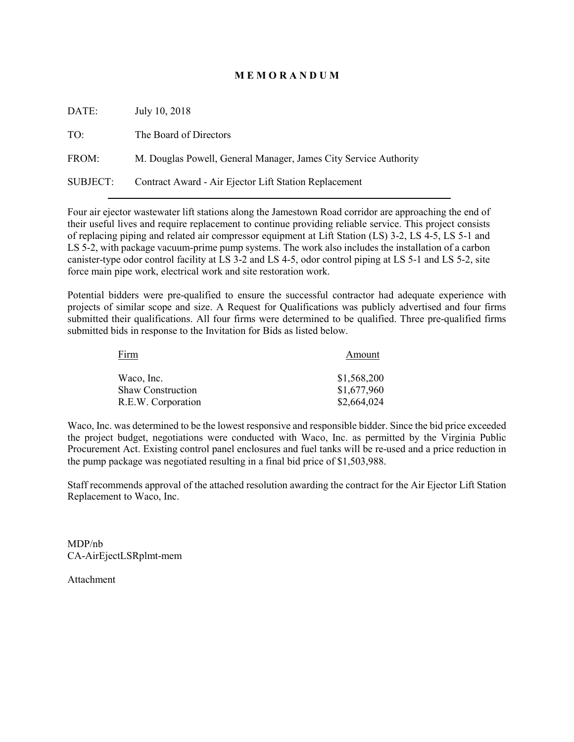### **M E M O R A N D U M**

| DATE:           | July 10, 2018                                                    |
|-----------------|------------------------------------------------------------------|
| TO:             | The Board of Directors                                           |
| FROM:           | M. Douglas Powell, General Manager, James City Service Authority |
| <b>SUBJECT:</b> | Contract Award - Air Ejector Lift Station Replacement            |

Four air ejector wastewater lift stations along the Jamestown Road corridor are approaching the end of their useful lives and require replacement to continue providing reliable service. This project consists of replacing piping and related air compressor equipment at Lift Station (LS) 3-2, LS 4-5, LS 5-1 and LS 5-2, with package vacuum-prime pump systems. The work also includes the installation of a carbon canister-type odor control facility at LS 3-2 and LS 4-5, odor control piping at LS 5-1 and LS 5-2, site force main pipe work, electrical work and site restoration work.

Potential bidders were pre-qualified to ensure the successful contractor had adequate experience with projects of similar scope and size. A Request for Qualifications was publicly advertised and four firms submitted their qualifications. All four firms were determined to be qualified. Three pre-qualified firms submitted bids in response to the Invitation for Bids as listed below.

| Firm                     | Amount      |
|--------------------------|-------------|
| Waco, Inc.               | \$1,568,200 |
| <b>Shaw Construction</b> | \$1,677,960 |
| R.E.W. Corporation       | \$2,664,024 |

Waco, Inc. was determined to be the lowest responsive and responsible bidder. Since the bid price exceeded the project budget, negotiations were conducted with Waco, Inc. as permitted by the Virginia Public Procurement Act. Existing control panel enclosures and fuel tanks will be re-used and a price reduction in the pump package was negotiated resulting in a final bid price of \$1,503,988.

Staff recommends approval of the attached resolution awarding the contract for the Air Ejector Lift Station Replacement to Waco, Inc.

MDP/nb CA-AirEjectLSRplmt-mem

Attachment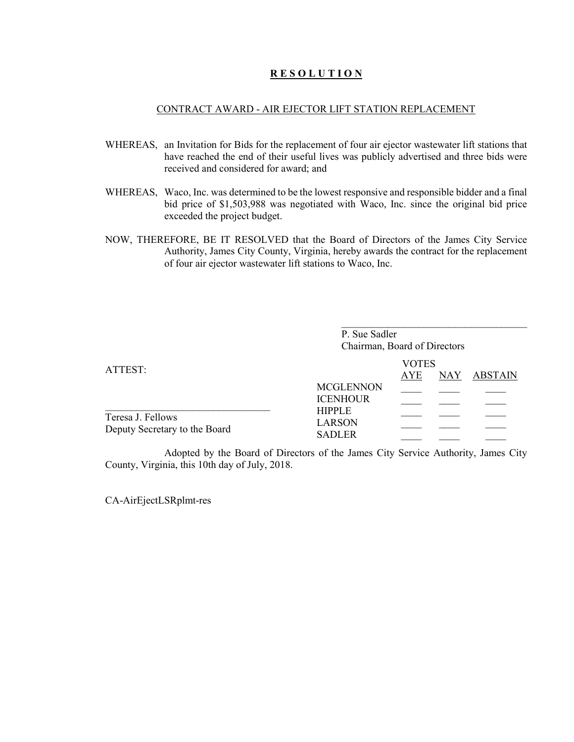### **R E S O L U T I O N**

#### CONTRACT AWARD - AIR EJECTOR LIFT STATION REPLACEMENT

- WHEREAS, an Invitation for Bids for the replacement of four air ejector wastewater lift stations that have reached the end of their useful lives was publicly advertised and three bids were received and considered for award; and
- WHEREAS, Waco, Inc. was determined to be the lowest responsive and responsible bidder and a final bid price of \$1,503,988 was negotiated with Waco, Inc. since the original bid price exceeded the project budget.
- NOW, THEREFORE, BE IT RESOLVED that the Board of Directors of the James City Service Authority, James City County, Virginia, hereby awards the contract for the replacement of four air ejector wastewater lift stations to Waco, Inc.

|                                                    | P. Sue Sadler<br>Chairman, Board of Directors   |                            |            |         |  |
|----------------------------------------------------|-------------------------------------------------|----------------------------|------------|---------|--|
| ATTEST:                                            | <b>MCGLENNON</b><br><b>ICENHOUR</b>             | <b>VOTES</b><br><b>AYE</b> | <b>NAY</b> | ABSTAIN |  |
| Teresa J. Fellows<br>Deputy Secretary to the Board | <b>HIPPLE</b><br><b>LARSON</b><br><b>SADLER</b> |                            |            |         |  |

Adopted by the Board of Directors of the James City Service Authority, James City County, Virginia, this 10th day of July, 2018.

CA-AirEjectLSRplmt-res